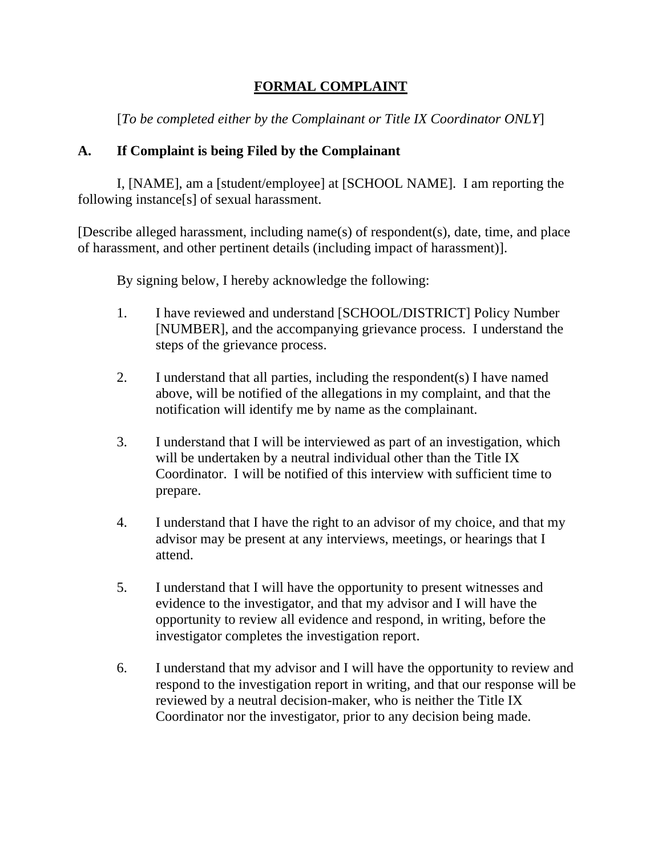## **FORMAL COMPLAINT**

[*To be completed either by the Complainant or Title IX Coordinator ONLY*]

## **A. If Complaint is being Filed by the Complainant**

I, [NAME], am a [student/employee] at [SCHOOL NAME]. I am reporting the following instance[s] of sexual harassment.

[Describe alleged harassment, including name(s) of respondent(s), date, time, and place of harassment, and other pertinent details (including impact of harassment)].

By signing below, I hereby acknowledge the following:

- 1. I have reviewed and understand [SCHOOL/DISTRICT] Policy Number [NUMBER], and the accompanying grievance process. I understand the steps of the grievance process.
- 2. I understand that all parties, including the respondent(s) I have named above, will be notified of the allegations in my complaint, and that the notification will identify me by name as the complainant.
- 3. I understand that I will be interviewed as part of an investigation, which will be undertaken by a neutral individual other than the Title IX Coordinator. I will be notified of this interview with sufficient time to prepare.
- 4. I understand that I have the right to an advisor of my choice, and that my advisor may be present at any interviews, meetings, or hearings that I attend.
- 5. I understand that I will have the opportunity to present witnesses and evidence to the investigator, and that my advisor and I will have the opportunity to review all evidence and respond, in writing, before the investigator completes the investigation report.
- 6. I understand that my advisor and I will have the opportunity to review and respond to the investigation report in writing, and that our response will be reviewed by a neutral decision-maker, who is neither the Title IX Coordinator nor the investigator, prior to any decision being made.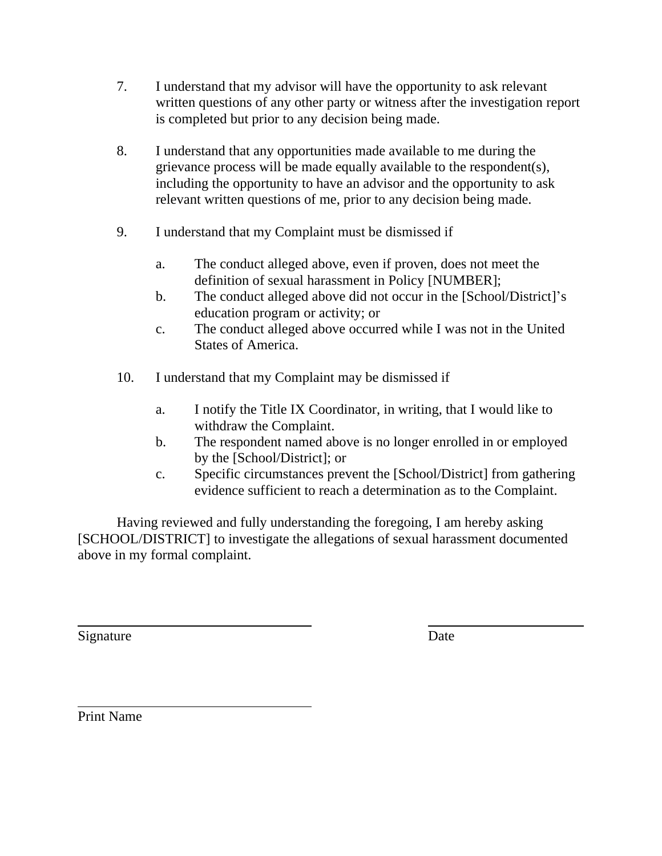- 7. I understand that my advisor will have the opportunity to ask relevant written questions of any other party or witness after the investigation report is completed but prior to any decision being made.
- 8. I understand that any opportunities made available to me during the grievance process will be made equally available to the respondent(s), including the opportunity to have an advisor and the opportunity to ask relevant written questions of me, prior to any decision being made.
- 9. I understand that my Complaint must be dismissed if
	- a. The conduct alleged above, even if proven, does not meet the definition of sexual harassment in Policy [NUMBER];
	- b. The conduct alleged above did not occur in the [School/District]'s education program or activity; or
	- c. The conduct alleged above occurred while I was not in the United States of America.
- 10. I understand that my Complaint may be dismissed if
	- a. I notify the Title IX Coordinator, in writing, that I would like to withdraw the Complaint.
	- b. The respondent named above is no longer enrolled in or employed by the [School/District]; or
	- c. Specific circumstances prevent the [School/District] from gathering evidence sufficient to reach a determination as to the Complaint.

Having reviewed and fully understanding the foregoing, I am hereby asking [SCHOOL/DISTRICT] to investigate the allegations of sexual harassment documented above in my formal complaint.

Signature Date

Print Name